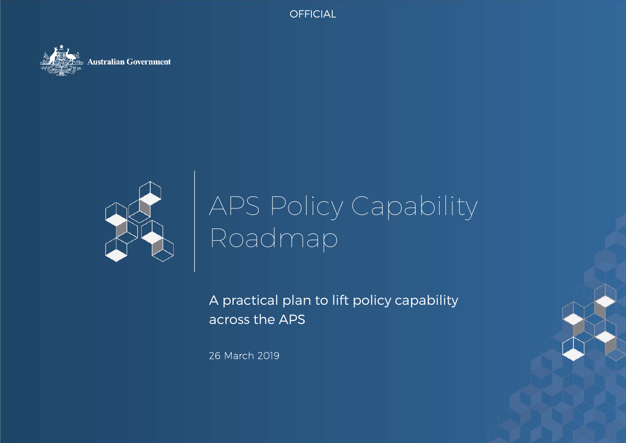OFFICIAL OFFICIAL





# APS Policy Capability Roadmap

A practical plan to lift policy capability across the APS

26 March 2019

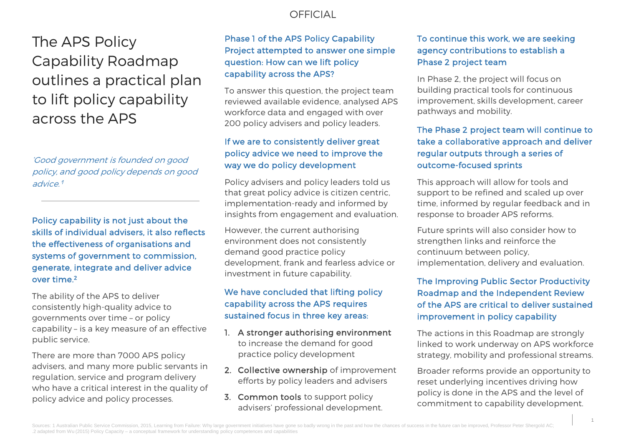## The APS Policy Capability Roadmap outlines a practical plan to lift policy capability across the APS

'Good government is founded on good policy, and good policy depends on good advice<sup>1</sup>

Policy capability is not just about the skills of individual advisers, it also reflects the effectiveness of organisations and systems of government to commission, generate, integrate and deliver advice over time.2

The ability of the APS to deliver consistently high-quality advice to governments over time – or policy capability – is a key measure of an effective public service.

There are more than 7000 APS policy advisers, and many more public servants in regulation, service and program delivery who have a critical interest in the quality of policy advice and policy processes.

## Phase 1 of the APS Policy Capability Project attempted to answer one simple question: How can we lift policy capability across the APS?

To answer this question, the project team reviewed available evidence, analysed APS workforce data and engaged with over 200 policy advisers and policy leaders.

## If we are to consistently deliver great policy advice we need to improve the way we do policy development

Policy advisers and policy leaders told us that great policy advice is citizen centric, implementation-ready and informed by insights from engagement and evaluation.

However, the current authorising environment does not consistently demand good practice policy development, frank and fearless advice or investment in future capability.

## We have concluded that lifting policy capability across the APS requires sustained focus in three key areas:

- 1. A stronger authorising environment to increase the demand for good practice policy development
- 2. Collective ownership of improvement efforts by policy leaders and advisers
- 3. Common tools to support policy advisers' professional development.

## To continue this work, we are seeking agency contributions to establish a Phase 2 project team

In Phase 2, the project will focus on building practical tools for continuous improvement, skills development, career pathways and mobility.

## The Phase 2 project team will continue to take a collaborative approach and deliver regular outputs through a series of outcome-focused sprints

This approach will allow for tools and support to be refined and scaled up over time, informed by regular feedback and in response to broader APS reforms.

Future sprints will also consider how to strengthen links and reinforce the continuum between policy, implementation, delivery and evaluation.

## The Improving Public Sector Productivity Roadmap and the Independent Review of the APS are critical to deliver sustained improvement in policy capability

The actions in this Roadmap are strongly linked to work underway on APS workforce strategy, mobility and professional streams.

Broader reforms provide an opportunity to reset underlying incentives driving how policy is done in the APS and the level of commitment to capability development.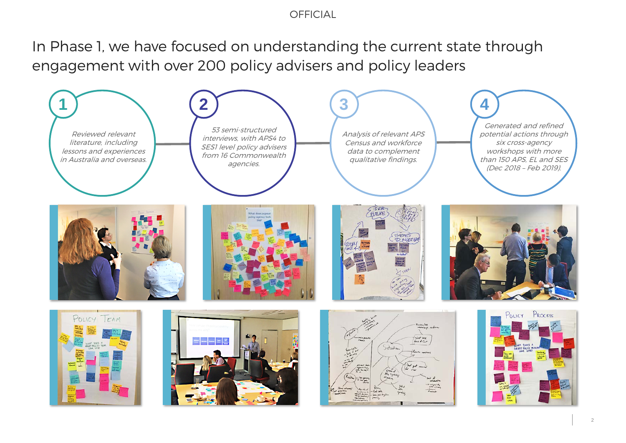In Phase 1, we have focused on understanding the current state through engagement with over 200 policy advisers and policy leaders

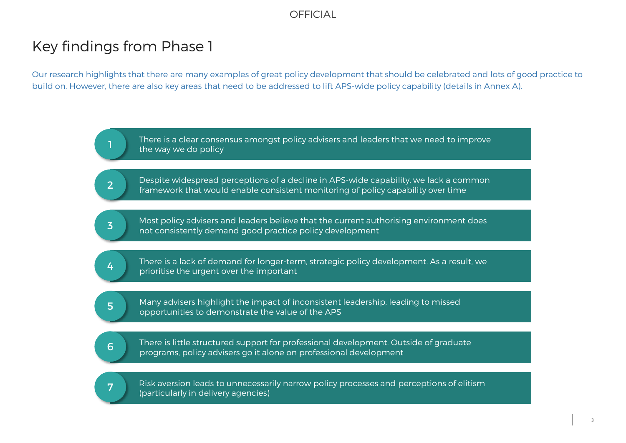## Key findings from Phase 1

Our research highlights that there are many examples of great policy development that should be celebrated and lots of good practice to build on. However, there are also key areas that need to be addressed to lift APS-wide policy capability (details in Annex A).

> There is a clear consensus amongst policy advisers and leaders that we need to improve the way we do policy

Despite widespread perceptions of a decline in APS-wide capability, we lack a common framework that would enable consistent monitoring of policy capability over time 2

Most policy advisers and leaders believe that the current authorising environment does and the current authority demand good practice policy development and consistently demand good practice policy development

There is a lack of demand for longer-term, strategic policy development. As a result, we prioritise the urgent over the important 4

Many advisers highlight the impact of inconsistent leadership, leading to missed opportunities to demonstrate the value of the APS

There is little structured support for professional development. Outside of graduate programs, policy advisers go it alone on professional development 6



Risk aversion leads to unnecessarily narrow policy processes and perceptions of elitism This aversion reads to unnecessary<br>(particularly in delivery agencies)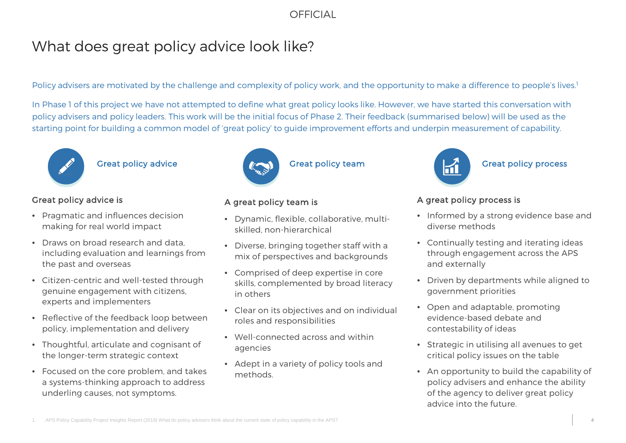## What does great policy advice look like?

Policy advisers are motivated by the challenge and complexity of policy work, and the opportunity to make a difference to people's lives.<sup>1</sup>

In Phase 1 of this project we have not attempted to define what great policy looks like. However, we have started this conversation with policy advisers and policy leaders. This work will be the initial focus of Phase 2. Their feedback (summarised below) will be used as the starting point for building a common model of 'great policy' to guide improvement efforts and underpin measurement of capability.



## Great policy advice

## Great policy advice is

- Pragmatic and influences decision making for real world impact
- Draws on broad research and data, including evaluation and learnings from the past and overseas
- Citizen-centric and well-tested through genuine engagement with citizens, experts and implementers
- Reflective of the feedback loop between policy, implementation and delivery
- Thoughtful, articulate and cognisant of the longer-term strategic context
- Focused on the core problem, and takes a systems-thinking approach to address underling causes, not symptoms.



### Great policy team

## A great policy team is

- Dynamic, flexible, collaborative, multiskilled, non-hierarchical
- Diverse, bringing together staff with a mix of perspectives and backgrounds
- Comprised of deep expertise in core skills, complemented by broad literacy in others
- Clear on its objectives and on individual roles and responsibilities
- Well-connected across and within agencies
- Adept in a variety of policy tools and methods.



## Great policy process

## A great policy process is

- Informed by a strong evidence base and diverse methods
- Continually testing and iterating ideas through engagement across the APS and externally
- Driven by departments while aligned to government priorities
- Open and adaptable, promoting evidence-based debate and contestability of ideas
- Strategic in utilising all avenues to get critical policy issues on the table
- An opportunity to build the capability of policy advisers and enhance the ability of the agency to deliver great policy advice into the future.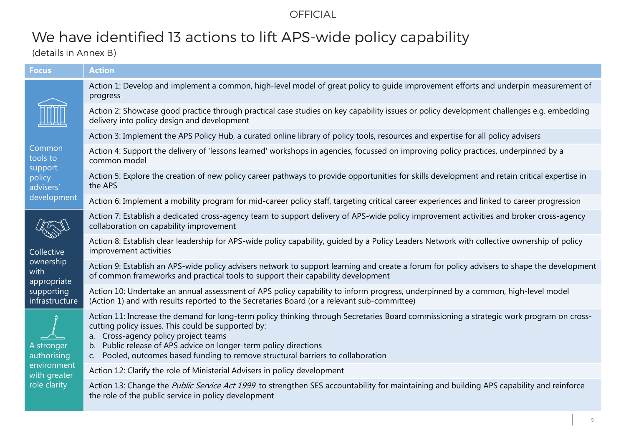## We have identified 13 actions to lift APS-wide policy capability

(details in Annex B)

| <b>Focus</b>                                                                   | <b>Action</b>                                                                                                                                                                                                                                                                                                                                                                                    |
|--------------------------------------------------------------------------------|--------------------------------------------------------------------------------------------------------------------------------------------------------------------------------------------------------------------------------------------------------------------------------------------------------------------------------------------------------------------------------------------------|
| Common<br>tools to<br>support<br>policy<br>advisers'<br>development            | Action 1: Develop and implement a common, high-level model of great policy to guide improvement efforts and underpin measurement of<br>progress                                                                                                                                                                                                                                                  |
|                                                                                | Action 2: Showcase good practice through practical case studies on key capability issues or policy development challenges e.g. embedding<br>delivery into policy design and development                                                                                                                                                                                                          |
|                                                                                | Action 3: Implement the APS Policy Hub, a curated online library of policy tools, resources and expertise for all policy advisers                                                                                                                                                                                                                                                                |
|                                                                                | Action 4: Support the delivery of 'lessons learned' workshops in agencies, focussed on improving policy practices, underpinned by a<br>common model                                                                                                                                                                                                                                              |
|                                                                                | Action 5: Explore the creation of new policy career pathways to provide opportunities for skills development and retain critical expertise in<br>the APS                                                                                                                                                                                                                                         |
|                                                                                | Action 6: Implement a mobility program for mid-career policy staff, targeting critical career experiences and linked to career progression                                                                                                                                                                                                                                                       |
| Collective<br>ownership<br>with<br>appropriate<br>supporting<br>infrastructure | Action 7: Establish a dedicated cross-agency team to support delivery of APS-wide policy improvement activities and broker cross-agency<br>collaboration on capability improvement                                                                                                                                                                                                               |
|                                                                                | Action 8: Establish clear leadership for APS-wide policy capability, quided by a Policy Leaders Network with collective ownership of policy<br>improvement activities                                                                                                                                                                                                                            |
|                                                                                | Action 9: Establish an APS-wide policy advisers network to support learning and create a forum for policy advisers to shape the development<br>of common frameworks and practical tools to support their capability development                                                                                                                                                                  |
|                                                                                | Action 10: Undertake an annual assessment of APS policy capability to inform progress, underpinned by a common, high-level model<br>(Action 1) and with results reported to the Secretaries Board (or a relevant sub-committee)                                                                                                                                                                  |
| A stronger<br>authorising<br>environment<br>with greater<br>role clarity       | Action 11: Increase the demand for long-term policy thinking through Secretaries Board commissioning a strategic work program on cross-<br>cutting policy issues. This could be supported by:<br>a. Cross-agency policy project teams<br>b. Public release of APS advice on longer-term policy directions<br>Pooled, outcomes based funding to remove structural barriers to collaboration<br>C. |
|                                                                                | Action 12: Clarify the role of Ministerial Advisers in policy development                                                                                                                                                                                                                                                                                                                        |
|                                                                                | Action 13: Change the <i>Public Service Act 1999</i> to strengthen SES accountability for maintaining and building APS capability and reinforce<br>the role of the public service in policy development                                                                                                                                                                                          |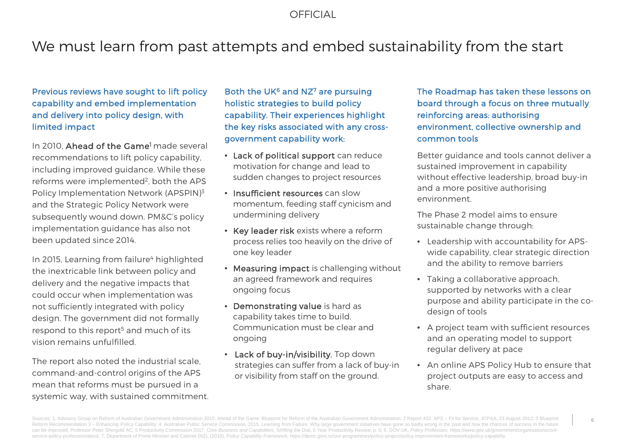## We must learn from past attempts and embed sustainability from the start

## Previous reviews have sought to lift policy capability and embed implementation and delivery into policy design, with limited impact

In 2010, Ahead of the Game<sup>1</sup> made several recommendations to lift policy capability, including improved guidance. While these reforms were implemented<sup>2</sup>, both the APS Policy Implementation Network (APSPIN)3 and the Strategic Policy Network were subsequently wound down. PM&C's policy implementation guidance has also not been updated since 2014.

In 2015, Learning from failure<sup>4</sup> highlighted the inextricable link between policy and delivery and the negative impacts that could occur when implementation was not sufficiently integrated with policy design. The government did not formally respond to this report<sup>5</sup> and much of its vision remains unfulfilled.

The report also noted the industrial scale, command-and-control origins of the APS mean that reforms must be pursued in a systemic way, with sustained commitment.

Both the UK $6$  and NZ $7$  are pursuing holistic strategies to build policy capability. Their experiences highlight the key risks associated with any crossgovernment capability work:

- Lack of political support can reduce motivation for change and lead to sudden changes to project resources
- Insufficient resources can slow momentum, feeding staff cynicism and undermining delivery
- Key leader risk exists where a reform process relies too heavily on the drive of one key leader
- Measuring impact is challenging without an agreed framework and requires ongoing focus
- Demonstrating value is hard as capability takes time to build. Communication must be clear and ongoing
- Lack of buy-in/visibility. Top down strategies can suffer from a lack of buy-in or visibility from staff on the ground.

The Roadmap has taken these lessons on board through a focus on three mutually reinforcing areas: authorising environment, collective ownership and common tools

Better guidance and tools cannot deliver a sustained improvement in capability without effective leadership, broad buy-in and a more positive authorising environment.

The Phase 2 model aims to ensure sustainable change through:

- Leadership with accountability for APSwide capability, clear strategic direction and the ability to remove barriers
- Taking a collaborative approach, supported by networks with a clear purpose and ability participate in the codesign of tools
- A project team with sufficient resources and an operating model to support regular delivery at pace
- An online APS Policy Hub to ensure that project outputs are easy to access and share.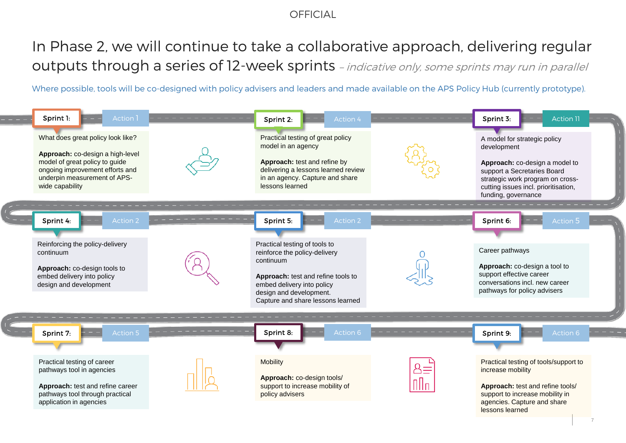## In Phase 2, we will continue to take a collaborative approach, delivering regular outputs through a series of 12-week sprints - indicative only, some sprints may run in parallel

Where possible, tools will be co-designed with policy advisers and leaders and made available on the APS Policy Hub (currently prototype).

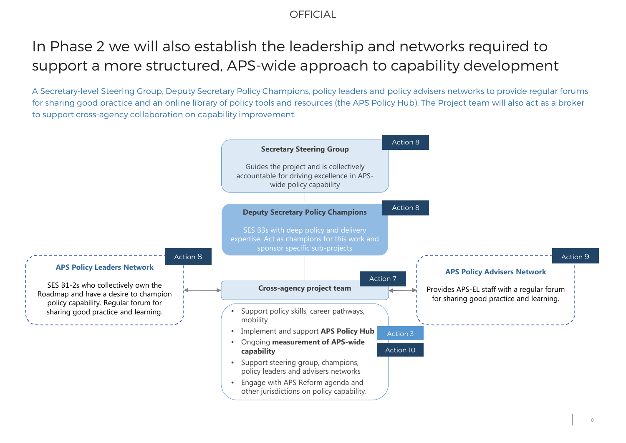## In Phase 2 we will also establish the leadership and networks required to support a more structured, APS-wide approach to capability development

A Secretary-level Steering Group, Deputy Secretary Policy Champions, policy leaders and policy advisers networks to provide regular forums for sharing good practice and an online library of policy tools and resources (the APS Policy Hub). The Project team will also act as a broker to support cross-agency collaboration on capability improvement.

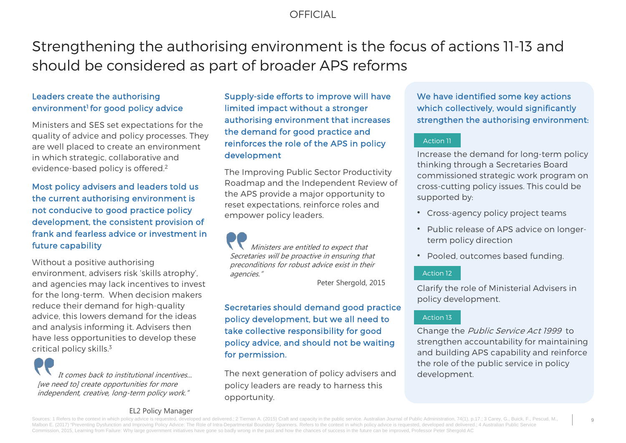## Strengthening the authorising environment is the focus of actions 11-13 and should be considered as part of broader APS reforms

## Leaders create the authorising environment<sup>1</sup> for good policy advice

Ministers and SES set expectations for the quality of advice and policy processes. They are well placed to create an environment in which strategic, collaborative and evidence-based policy is offered.2

Most policy advisers and leaders told us the current authorising environment is not conducive to good practice policy development, the consistent provision of frank and fearless advice or investment in future capability

Without a positive authorising environment, advisers risk 'skills atrophy', and agencies may lack incentives to invest for the long-term. When decision makers reduce their demand for high-quality advice, this lowers demand for the ideas and analysis informing it. Advisers then have less opportunities to develop these critical policy skills.3

It comes back to institutional incentives... [we need to] create opportunities for more independent, creative, long-term policy work."

Supply-side efforts to improve will have limited impact without a stronger authorising environment that increases the demand for good practice and reinforces the role of the APS in policy development

The Improving Public Sector Productivity Roadmap and the Independent Review of the APS provide a major opportunity to reset expectations, reinforce roles and empower policy leaders.

Ministers are entitled to expect that Secretaries will be proactive in ensuring that preconditions for robust advice exist in their agencies."

Peter Shergold, 2015

Secretaries should demand good practice policy development, but we all need to take collective responsibility for good policy advice, and should not be waiting for permission.

The next generation of policy advisers and policy leaders are ready to harness this opportunity.

We have identified some key actions which collectively, would significantly strengthen the authorising environment:

### Action 11

Increase the demand for long-term policy thinking through a Secretaries Board commissioned strategic work program on cross-cutting policy issues. This could be supported by:

- Cross-agency policy project teams
- Public release of APS advice on longerterm policy direction
- Pooled, outcomes based funding.

### Action 12

Clarify the role of Ministerial Advisers in policy development.

### Action 13

Change the Public Service Act 1999 to strengthen accountability for maintaining and building APS capability and reinforce the role of the public service in policy development.

### EL2 Policy Manager

Sources: 1 Refers to the context in which policy advice is requested, developed and delivered.: 2 Tiernan A, (2015) Craft and capacity in the public service, Australian Journal of Public Administration, 74(1), p.17.: 3 Car Malbon E. (2017) "Preventing Dysfunction and Improving Policy Advice: The Role of Intra-Departmental Boundary Spanners. Refers to the context in which policy advice is requested, developed and delivered.; 4 Australian Publ Commission, 2015, Learning from Failure: Why large government initiatives have gone so badly wrong in the past and how the chances of success in the future can be improved, Professor Peter Shergold AC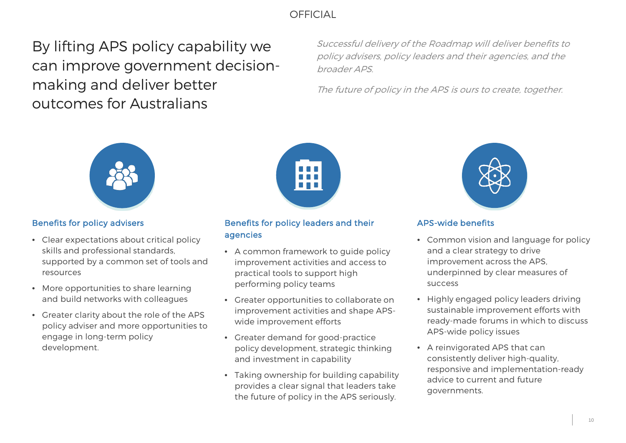By lifting APS policy capability we can improve government decisionmaking and deliver better outcomes for Australians

Successful delivery of the Roadmap will deliver benefits to policy advisers, policy leaders and their agencies, and the broader APS.

The future of policy in the APS is ours to create, together.



## Benefits for policy advisers

- Clear expectations about critical policy skills and professional standards, supported by a common set of tools and resources
- More opportunities to share learning and build networks with colleagues
- Greater clarity about the role of the APS policy adviser and more opportunities to engage in long-term policy development.



## Benefits for policy leaders and their agencies

- A common framework to guide policy improvement activities and access to practical tools to support high performing policy teams
- Greater opportunities to collaborate on improvement activities and shape APSwide improvement efforts
- Greater demand for good-practice policy development, strategic thinking and investment in capability
- Taking ownership for building capability provides a clear signal that leaders take the future of policy in the APS seriously.



## APS-wide benefits

- Common vision and language for policy and a clear strategy to drive improvement across the APS, underpinned by clear measures of success
- Highly engaged policy leaders driving sustainable improvement efforts with ready-made forums in which to discuss APS-wide policy issues
- A reinvigorated APS that can consistently deliver high-quality, responsive and implementation-ready advice to current and future governments.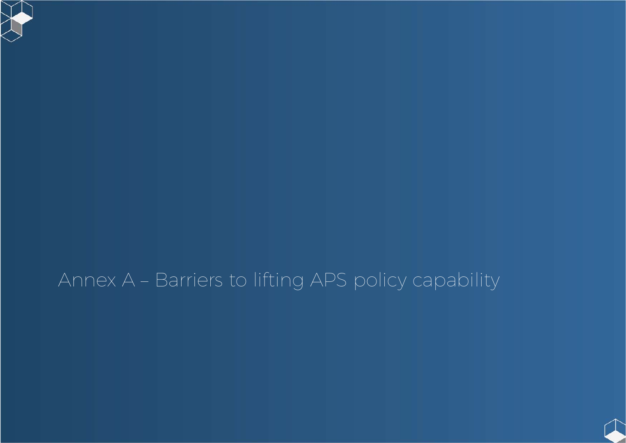## Annex A – Barriers to lifting APS policy capability

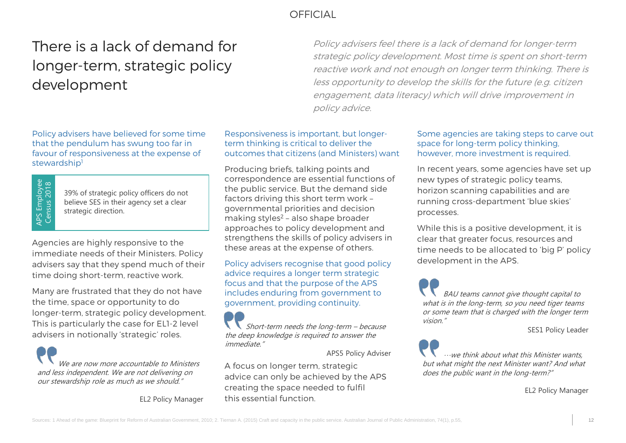## OFFICIAL Challenge and the challenge of the challenge of the challenge of the challenge of the challenge of the challenge of the challenge of the challenge of the challenge of the challenge of the challenge of the challeng

## There is a lack of demand for longer-term, strategic policy development

Policy advisers have believed for some time that the pendulum has swung too far in favour of responsiveness at the expense of stewardship<sup>1</sup>

APS Employee<br>Census 2018 APS Employee Census 2018

39% of strategic policy officers do not believe SES in their agency set a clear strategic direction.

Agencies are highly responsive to the immediate needs of their Ministers. Policy advisers say that they spend much of their time doing short-term, reactive work.

Many are frustrated that they do not have the time, space or opportunity to do longer-term, strategic policy development. This is particularly the case for EL1-2 level advisers in notionally 'strategic' roles.

We are now more accountable to Ministers and less independent. We are not delivering on our stewardship role as much as we should."

EL2 Policy Manager

Policy advisers feel there is a lack of demand for longer-term strategic policy development. Most time is spent on short-term reactive work and not enough on longer term thinking. There is less opportunity to develop the skills for the future (e.g. citizen engagement, data literacy) which will drive improvement in policy advice.

Responsiveness is important, but longerterm thinking is critical to deliver the outcomes that citizens (and Ministers) want

Producing briefs, talking points and correspondence are essential functions of the public service. But the demand side factors driving this short term work – governmental priorities and decision making styles2 – also shape broader approaches to policy development and strengthens the skills of policy advisers in these areas at the expense of others.

Policy advisers recognise that good policy advice requires a longer term strategic focus and that the purpose of the APS includes enduring from government to government, providing continuity.

Short-term needs the long-term – because the deep knowledge is required to answer the immediate."

APS5 Policy Adviser

A focus on longer term, strategic advice can only be achieved by the APS creating the space needed to fulfil this essential function.

### Some agencies are taking steps to carve out space for long-term policy thinking, however, more investment is required.

In recent years, some agencies have set up new types of strategic policy teams, horizon scanning capabilities and are running cross-department 'blue skies' processes.

While this is a positive development, it is clear that greater focus, resources and time needs to be allocated to 'big P' policy development in the APS.

BAU teams cannot give thought capital to what is in the long-term, so you need tiger teams or some team that is charged with the longer term vision."

SES1 Policy Leader

 $\cdots$ we think about what this Minister wants, but what might the next Minister want? And what does the public want in the long-term?"

EL2 Policy Manager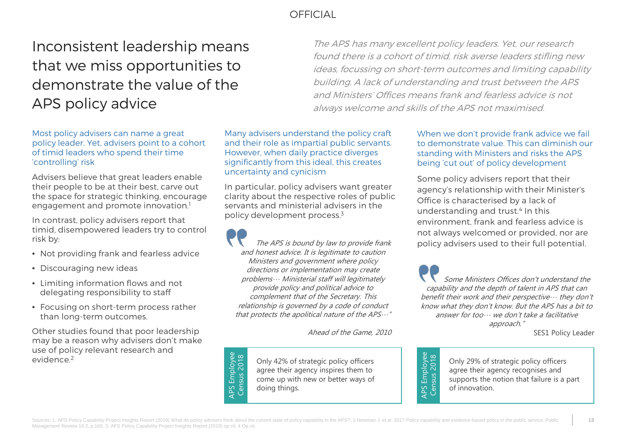## Inconsistent leadership means that we miss opportunities to demonstrate the value of the APS policy advice

The APS has many excellent policy leaders. Yet, our research found there is a cohort of timid, risk averse leaders stifling new ideas, focussing on short-term outcomes and limiting capability building. A lack of understanding and trust between the APS and Ministers' Offices means frank and fearless advice is not always welcome and skills of the APS not maximised.

Most policy advisers can name a great policy leader. Yet, advisers point to a cohort of timid leaders who spend their time 'controlling' risk

Advisers believe that great leaders enable their people to be at their best, carve out the space for strategic thinking, encourage engagement and promote innovation.<sup>1</sup>

In contrast, policy advisers report that timid, disempowered leaders try to control risk by:

- Not providing frank and fearless advice
- Discouraging new ideas
- Limiting information flows and not delegating responsibility to staff
- Focusing on short-term process rather than long-term outcomes.

Other studies found that poor leadership may be a reason why advisers don't make use of policy relevant research and evidence.2

Many advisers understand the policy craft and their role as impartial public servants. However, when daily practice diverges significantly from this ideal, this creates uncertainty and cynicism

In particular, policy advisers want greater clarity about the respective roles of public servants and ministerial advisers in the policy development process.3

The APS is bound by law to provide frank and honest advice. It is legitimate to caution Ministers and government where policy directions or implementation may create problems… Ministerial staff will legitimately provide policy and political advice to complement that of the Secretary. This relationship is governed by a code of conduct that protects the apolitical nature of the APS…"

Ahead of the Game, 2010

Only 42% of strategic policy officers agree their agency inspires them to come up with new or better ways of doing things.

When we don't provide frank advice we fail to demonstrate value. This can diminish our standing with Ministers and risks the APS being 'cut out' of policy development

Some policy advisers report that their agency's relationship with their Minister's Office is characterised by a lack of understanding and trust.<sup>4</sup> In this environment, frank and fearless advice is not always welcomed or provided, nor are policy advisers used to their full potential.

Some Ministers Offices don't understand the capability and the depth of talent in APS that can benefit their work and their perspective… they don't know what they don't know. But the APS has a bit to answer for too… we don't take a facilitative approach."

SES1 Policy Leader



Only 29% of strategic policy officers agree their agency recognises and supports the notion that failure is a part of innovation.

APS Employee<br>Census 2018 APS Employee Census 2018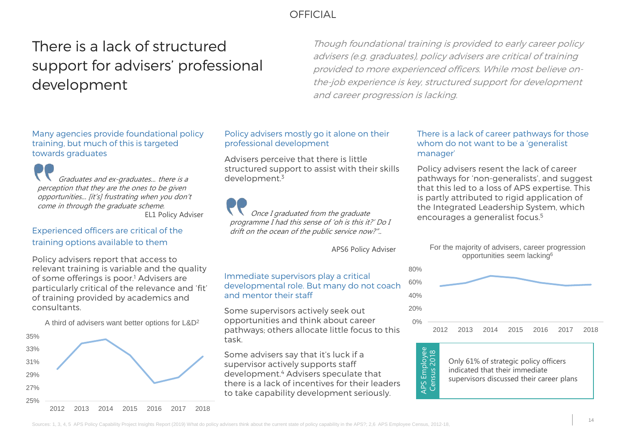## There is a lack of structured support for advisers' professional development

Though foundational training is provided to early career policy advisers (e.g. graduates), policy advisers are critical of training provided to more experienced officers. While most believe onthe-job experience is key, structured support for development and career progression is lacking.

Many agencies provide foundational policy training, but much of this is targeted towards graduates

Graduates and ex-graduates... there is a perception that they are the ones to be given opportunities... [it's] frustrating when you don't come in through the graduate scheme. EL1 Policy Adviser

## Experienced officers are critical of the training options available to them

Policy advisers report that access to relevant training is variable and the quality of some offerings is poor.<sup>1</sup> Advisers are particularly critical of the relevance and 'fit' of training provided by academics and consultants.



### Policy advisers mostly go it alone on their professional development

Advisers perceive that there is little structured support to assist with their skills development.3

Once I graduated from the graduate programme I had this sense of 'oh is this it?' Do I drift on the ocean of the public service now?"..

APS6 Policy Adviser

### Immediate supervisors play a critical developmental role. But many do not coach and mentor their staff

A third of advisers want better options for  $L&D^2$  opportunities and think about career  $\sim$  0% Some supervisors actively seek out opportunities and think about career pathways; others allocate little focus to this task.

> Some advisers say that it's luck if a supervisor actively supports staff development.4 Advisers speculate that there is a lack of incentives for their leaders to take capability development seriously.

### There is a lack of career pathways for those whom do not want to be a 'generalist manager'

Policy advisers resent the lack of career pathways for 'non-generalists', and suggest that this led to a loss of APS expertise. This is partly attributed to rigid application of the Integrated Leadership System, which encourages a generalist focus.5







Only 61% of strategic policy officers indicated that their immediate supervisors discussed their career plans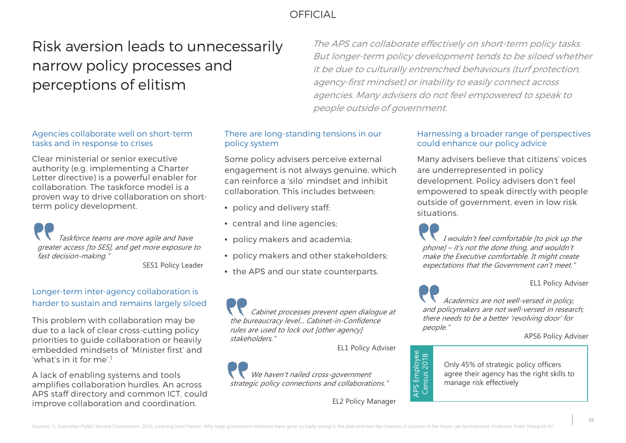## Risk aversion leads to unnecessarily narrow policy processes and perceptions of elitism

The APS can collaborate effectively on short-term policy tasks. But longer-term policy development tends to be siloed whether it be due to culturally entrenched behaviours (turf protection, agency-first mindset) or inability to easily connect across agencies. Many advisers do not feel empowered to speak to people outside of government.

### Agencies collaborate well on short-term tasks and in response to crises

Clear ministerial or senior executive authority (e.g. implementing a Charter Letter directive) is a powerful enabler for collaboration. The taskforce model is a proven way to drive collaboration on shortterm policy development.

Taskforce teams are more agile and have greater access [to SES], and get more exposure to fast decision-making."

SES1 Policy Leader

## Longer-term inter-agency collaboration is harder to sustain and remains largely siloed

This problem with collaboration may be due to a lack of clear cross-cutting policy priorities to guide collaboration or heavily embedded mindsets of 'Minister first' and 'what's in it for me'!

A lack of enabling systems and tools amplifies collaboration hurdles. An across APS staff directory and common ICT, could improve collaboration and coordination.

## There are long-standing tensions in our policy system

Some policy advisers perceive external engagement is not always genuine, which can reinforce a 'silo' mindset and inhibit collaboration. This includes between:

- policy and delivery staff;
- central and line agencies:
- policy makers and academia;
- policy makers and other stakeholders;
- the APS and our state counterparts.

Cabinet processes prevent open dialogue at the bureaucracy level... Cabinet-in-Confidence rules are used to lock out [other agency] stakeholders."

EL1 Policy Adviser

We haven't nailed cross-government strategic policy connections and collaborations."

EL2 Policy Manager

## Harnessing a broader range of perspectives could enhance our policy advice

Many advisers believe that citizens' voices are underrepresented in policy development. Policy advisers don't feel empowered to speak directly with people outside of government, even in low risk situations.

I wouldn't feel comfortable [to pick up the phone] – it's not the done thing, and wouldn't make the Executive comfortable. It might create expectations that the Government can't meet."

EL1 Policy Adviser

Academics are not well-versed in policy, and policymakers are not well-versed in research; there needs to be a better 'revolving door' for people."

#### APS6 Policy Adviser



Only 45% of strategic policy officers agree their agency has the right skills to manage risk effectively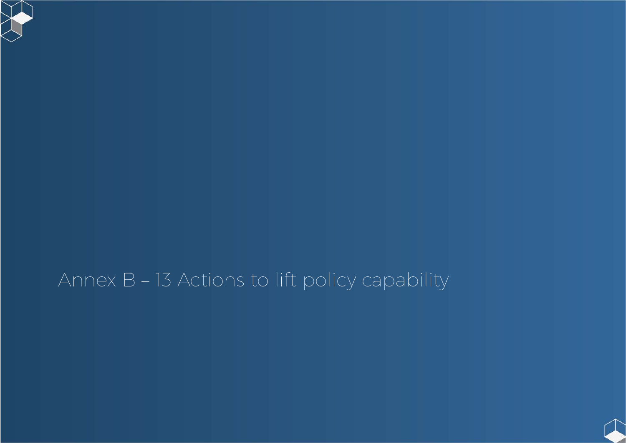## Annex B – 13 Actions to lift policy capability

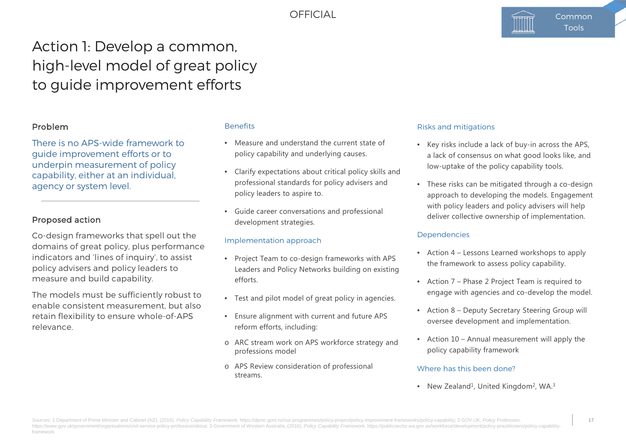## Action 1: Develop a common, high-level model of great policy to guide improvement efforts

## Problem

There is no APS-wide framework to guide improvement efforts or to underpin measurement of policy capability, either at an individual, agency or system level.

## Proposed action

Co-design frameworks that spell out the domains of great policy, plus performance indicators and 'lines of inquiry', to assist policy advisers and policy leaders to measure and build capability.

The models must be sufficiently robust to enable consistent measurement, but also retain flexibility to ensure whole-of-APS relevance.

### **Benefits**

- Measure and understand the current state of policy capability and underlying causes.
- Clarify expectations about critical policy skills and professional standards for policy advisers and policy leaders to aspire to.
- Guide career conversations and professional development strategies.

### Implementation approach

- Project Team to co-design frameworks with APS Leaders and Policy Networks building on existing efforts.
- Test and pilot model of great policy in agencies.
- Ensure alignment with current and future APS reform efforts, including:
- o ARC stream work on APS workforce strategy and professions model
- o APS Review consideration of professional streams.

#### Risks and mitigations

- Key risks include a lack of buy-in across the APS, a lack of consensus on what good looks like, and low-uptake of the policy capability tools.
- These risks can be mitigated through a co-design approach to developing the models. Engagement with policy leaders and policy advisers will help deliver collective ownership of implementation.

### Dependencies

- Action 4 Lessons Learned workshops to apply the framework to assess policy capability.
- Action 7 Phase 2 Project Team is required to engage with agencies and co-develop the model.
- Action 8 Deputy Secretary Steering Group will oversee development and implementation.
- Action 10 Annual measurement will apply the policy capability framework

#### Where has this been done?

• New Zealand<sup>1</sup>, United Kingdom<sup>2</sup>, WA.<sup>3</sup>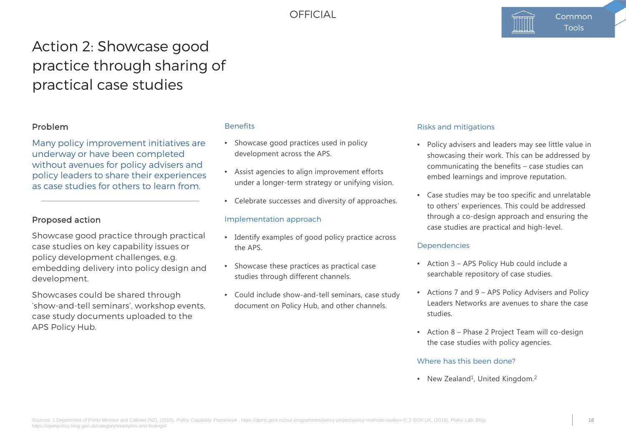## Action 2: Showcase good practice through sharing of practical case studies

## Problem

Many policy improvement initiatives are underway or have been completed without avenues for policy advisers and policy leaders to share their experiences as case studies for others to learn from.

## Proposed action

Showcase good practice through practical case studies on key capability issues or policy development challenges, e.g. embedding delivery into policy design and development.

Showcases could be shared through 'show-and-tell seminars', workshop events, case study documents uploaded to the APS Policy Hub.

### **Benefits**

- Showcase good practices used in policy development across the APS.
- Assist agencies to align improvement efforts under a longer-term strategy or unifying vision.
- Celebrate successes and diversity of approaches.

#### Implementation approach

- Identify examples of good policy practice across the APS.
- Showcase these practices as practical case studies through different channels.
- Could include show-and-tell seminars, case study document on Policy Hub, and other channels.

#### Risks and mitigations

- Policy advisers and leaders may see little value in showcasing their work. This can be addressed by communicating the benefits – case studies can embed learnings and improve reputation.
- Case studies may be too specific and unrelatable to others' experiences. This could be addressed through a co-design approach and ensuring the case studies are practical and high-level.

### Dependencies

- Action 3 APS Policy Hub could include a searchable repository of case studies.
- Actions 7 and 9 APS Policy Advisers and Policy Leaders Networks are avenues to share the case studies.
- Action 8 Phase 2 Project Team will co-design the case studies with policy agencies.

#### Where has this been done?

• New Zealand<sup>1</sup>, United Kingdom.<sup>2</sup>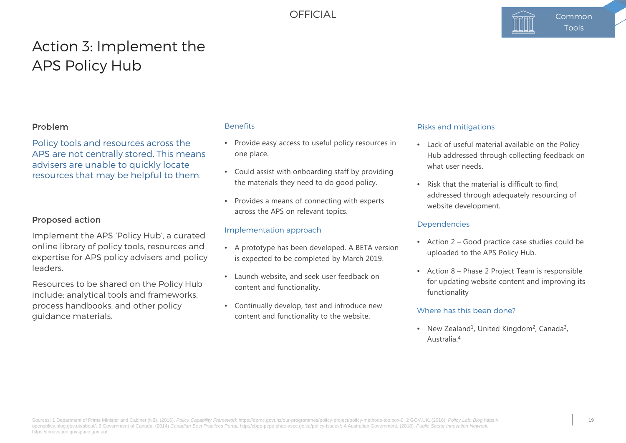## Action 3: Implement the APS Policy Hub

## Problem

Policy tools and resources across the APS are not centrally stored. This means advisers are unable to quickly locate resources that may be helpful to them.

### Proposed action

Implement the APS 'Policy Hub', a curated online library of policy tools, resources and expertise for APS policy advisers and policy leaders.

Resources to be shared on the Policy Hub include: analytical tools and frameworks, process handbooks, and other policy guidance materials.

### **Benefits**

- Provide easy access to useful policy resources in one place.
- Could assist with onboarding staff by providing the materials they need to do good policy.
- Provides a means of connecting with experts across the APS on relevant topics.

#### Implementation approach

- A prototype has been developed. A BETA version is expected to be completed by March 2019.
- Launch website, and seek user feedback on content and functionality.
- Continually develop, test and introduce new content and functionality to the website.

#### Risks and mitigations

- Lack of useful material available on the Policy Hub addressed through collecting feedback on what user needs.
- Risk that the material is difficult to find addressed through adequately resourcing of website development.

#### Dependencies

- Action 2 Good practice case studies could be uploaded to the APS Policy Hub.
- Action 8 Phase 2 Project Team is responsible for updating website content and improving its functionality

#### Where has this been done?

• New Zealand<sup>1</sup>, United Kingdom<sup>2</sup>, Canada<sup>3</sup>, Australia.4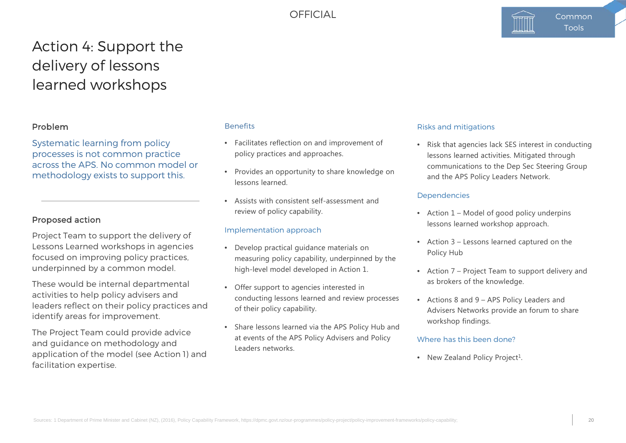## Action 4: Support the delivery of lessons learned workshops

## Problem

Systematic learning from policy processes is not common practice across the APS. No common model or methodology exists to support this.

## Proposed action

Project Team to support the delivery of Lessons Learned workshops in agencies focused on improving policy practices, underpinned by a common model.

These would be internal departmental activities to help policy advisers and leaders reflect on their policy practices and identify areas for improvement.

The Project Team could provide advice and guidance on methodology and application of the model (see Action 1) and facilitation expertise.

### **Benefits**

- Facilitates reflection on and improvement of policy practices and approaches.
- Provides an opportunity to share knowledge on lessons learned.
- Assists with consistent self-assessment and review of policy capability.

### Implementation approach

- Develop practical guidance materials on measuring policy capability, underpinned by the high-level model developed in Action 1.
- Offer support to agencies interested in conducting lessons learned and review processes of their policy capability.
- Share lessons learned via the APS Policy Hub and at events of the APS Policy Advisers and Policy Leaders networks.

#### Risks and mitigations

• Risk that agencies lack SES interest in conducting lessons learned activities. Mitigated through communications to the Dep Sec Steering Group and the APS Policy Leaders Network.

#### Dependencies

- Action 1 Model of good policy underpins lessons learned workshop approach.
- Action 3 Lessons learned captured on the Policy Hub
- Action 7 Project Team to support delivery and as brokers of the knowledge.
- Actions 8 and 9 APS Policy Leaders and Advisers Networks provide an forum to share workshop findings.

#### Where has this been done?

• New Zealand Policy Project<sup>1</sup>.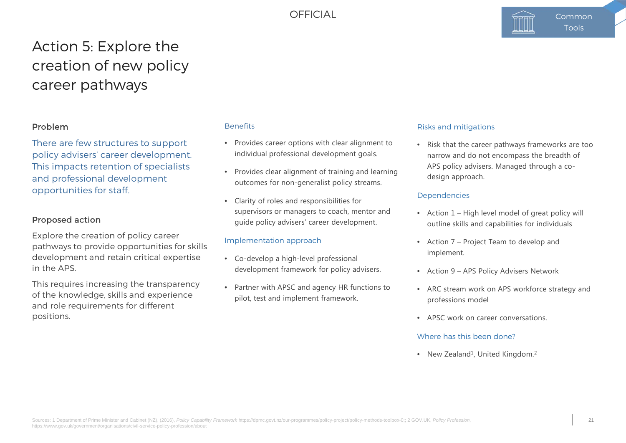## Action 5: Explore the creation of new policy career pathways

## Problem

There are few structures to support policy advisers' career development. This impacts retention of specialists and professional development opportunities for staff.

### Proposed action

Explore the creation of policy career pathways to provide opportunities for skills development and retain critical expertise in the APS.

This requires increasing the transparency of the knowledge, skills and experience and role requirements for different positions.

### **Benefits**

- Provides career options with clear alignment to individual professional development goals.
- Provides clear alignment of training and learning outcomes for non-generalist policy streams.
- Clarity of roles and responsibilities for supervisors or managers to coach, mentor and guide policy advisers' career development.

### Implementation approach

- Co-develop a high-level professional development framework for policy advisers.
- Partner with APSC and agency HR functions to pilot, test and implement framework.

#### Risks and mitigations

• Risk that the career pathways frameworks are too narrow and do not encompass the breadth of APS policy advisers. Managed through a codesign approach.

#### Dependencies

- Action 1 High level model of great policy will outline skills and capabilities for individuals
- Action 7 Project Team to develop and implement.
- Action 9 APS Policy Advisers Network
- ARC stream work on APS workforce strategy and professions model
- APSC work on career conversations.

#### Where has this been done?

• New Zealand<sup>1</sup>, United Kingdom.<sup>2</sup>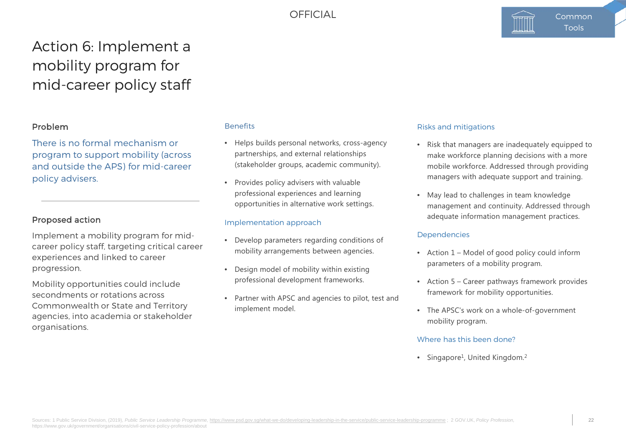## Action 6: Implement a mobility program for mid-career policy staff

## Problem

There is no formal mechanism or program to support mobility (across and outside the APS) for mid-career policy advisers.

## Proposed action

Implement a mobility program for midcareer policy staff, targeting critical career experiences and linked to career progression.

Mobility opportunities could include secondments or rotations across Commonwealth or State and Territory agencies, into academia or stakeholder organisations.

#### **Benefits**

- Helps builds personal networks, cross-agency partnerships, and external relationships (stakeholder groups, academic community).
- Provides policy advisers with valuable professional experiences and learning opportunities in alternative work settings.

### Implementation approach

- Develop parameters regarding conditions of mobility arrangements between agencies.
- Design model of mobility within existing professional development frameworks.
- Partner with APSC and agencies to pilot, test and implement model.

#### Risks and mitigations

- Risk that managers are inadequately equipped to make workforce planning decisions with a more mobile workforce. Addressed through providing managers with adequate support and training.
- May lead to challenges in team knowledge management and continuity. Addressed through adequate information management practices.

#### Dependencies

- Action 1 Model of good policy could inform parameters of a mobility program.
- Action 5 Career pathways framework provides framework for mobility opportunities.
- The APSC's work on a whole-of-government mobility program.

### Where has this been done?

• Singapore<sup>1</sup>, United Kingdom.<sup>2</sup>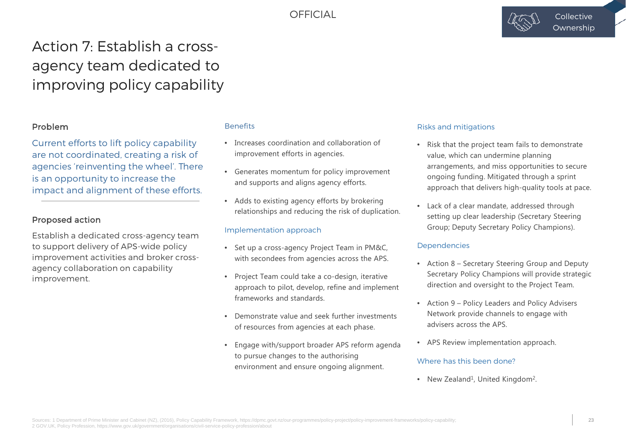

## Action 7: Establish a crossagency team dedicated to improving policy capability

## Problem

Current efforts to lift policy capability are not coordinated, creating a risk of agencies 'reinventing the wheel'. There is an opportunity to increase the impact and alignment of these efforts.

## Proposed action

Establish a dedicated cross-agency team to support delivery of APS-wide policy improvement activities and broker crossagency collaboration on capability improvement.

### **Benefits**

- Increases coordination and collaboration of improvement efforts in agencies.
- Generates momentum for policy improvement and supports and aligns agency efforts.
- Adds to existing agency efforts by brokering relationships and reducing the risk of duplication.

### Implementation approach

- Set up a cross-agency Project Team in PM&C, with secondees from agencies across the APS.
- Project Team could take a co-design, iterative approach to pilot, develop, refine and implement frameworks and standards.
- Demonstrate value and seek further investments of resources from agencies at each phase.
- Engage with/support broader APS reform agenda to pursue changes to the authorising environment and ensure ongoing alignment.

#### Risks and mitigations

- Risk that the project team fails to demonstrate value, which can undermine planning arrangements, and miss opportunities to secure ongoing funding. Mitigated through a sprint approach that delivers high-quality tools at pace.
- Lack of a clear mandate, addressed through setting up clear leadership (Secretary Steering Group; Deputy Secretary Policy Champions).

### Dependencies

- Action 8 Secretary Steering Group and Deputy Secretary Policy Champions will provide strategic direction and oversight to the Project Team.
- Action 9 Policy Leaders and Policy Advisers Network provide channels to engage with advisers across the APS.
- APS Review implementation approach.

### Where has this been done?

• New Zealand<sup>1</sup>, United Kingdom<sup>2</sup>.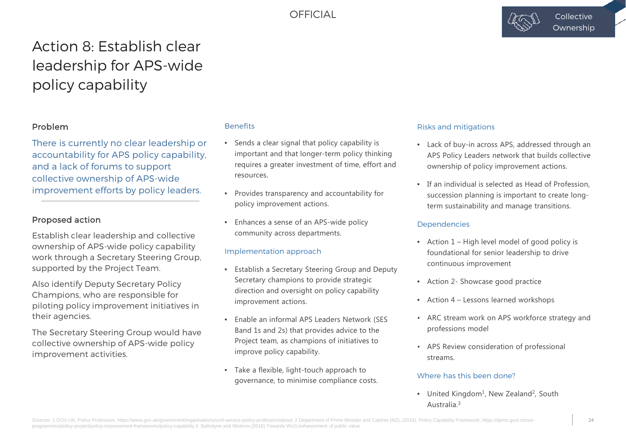

## Action 8: Establish clear leadership for APS-wide policy capability

## Problem

There is currently no clear leadership or accountability for APS policy capability, and a lack of forums to support collective ownership of APS-wide improvement efforts by policy leaders.

### Proposed action

Establish clear leadership and collective ownership of APS-wide policy capability work through a Secretary Steering Group, supported by the Project Team.

Also identify Deputy Secretary Policy Champions, who are responsible for piloting policy improvement initiatives in their agencies.

The Secretary Steering Group would have collective ownership of APS-wide policy improvement activities.

### **Benefits**

- Sends a clear signal that policy capability is important and that longer-term policy thinking requires a greater investment of time, effort and resources.
- Provides transparency and accountability for policy improvement actions.
- Enhances a sense of an APS-wide policy community across departments.

### Implementation approach

- Establish a Secretary Steering Group and Deputy Secretary champions to provide strategic direction and oversight on policy capability improvement actions.
- Enable an informal APS Leaders Network (SES Band 1s and 2s) that provides advice to the Project team, as champions of initiatives to improve policy capability.
- Take a flexible, light-touch approach to governance, to minimise compliance costs.

#### Risks and mitigations

- Lack of buy-in across APS, addressed through an APS Policy Leaders network that builds collective ownership of policy improvement actions.
- If an individual is selected as Head of Profession, succession planning is important to create longterm sustainability and manage transitions.

#### Dependencies

- Action 1 High level model of good policy is foundational for senior leadership to drive continuous improvement
- Action 2- Showcase good practice
- Action 4 Lessons learned workshops
- ARC stream work on APS workforce strategy and professions model
- APS Review consideration of professional streams.

#### Where has this been done?

• United Kingdom<sup>1</sup>, New Zealand<sup>2</sup>, South Australia.3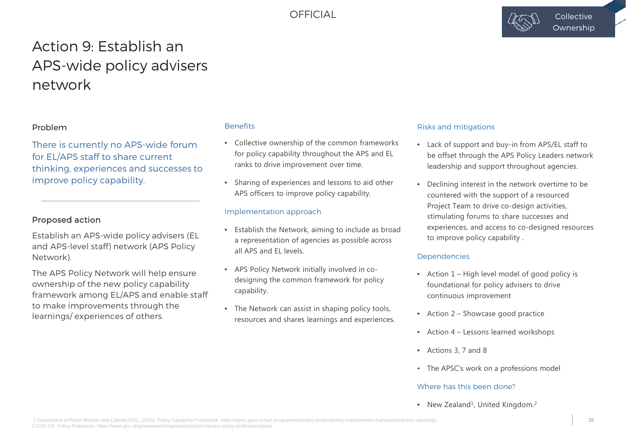

## Action 9: Establish an APS-wide policy advisers network

### Problem

There is currently no APS-wide forum for EL/APS staff to share current thinking, experiences and successes to improve policy capability.

### Proposed action

Establish an APS-wide policy advisers (EL and APS-level staff) network (APS Policy Network).

The APS Policy Network will help ensure ownership of the new policy capability framework among EL/APS and enable staff to make improvements through the learnings/ experiences of others.

#### **Benefits**

- Collective ownership of the common frameworks for policy capability throughout the APS and EL ranks to drive improvement over time.
- Sharing of experiences and lessons to aid other APS officers to improve policy capability.

#### Implementation approach

- Establish the Network, aiming to include as broad a representation of agencies as possible across all APS and EL levels.
- APS Policy Network initially involved in codesigning the common framework for policy capability.
- The Network can assist in shaping policy tools, resources and shares learnings and experiences.

#### Risks and mitigations

- Lack of support and buy-in from APS/EL staff to be offset through the APS Policy Leaders network leadership and support throughout agencies.
- Declining interest in the network overtime to be countered with the support of a resourced Project Team to drive co-design activities, stimulating forums to share successes and experiences, and access to co-designed resources to improve policy capability .

#### **Dependencies**

- Action 1 High level model of good policy is foundational for policy advisers to drive continuous improvement
- Action 2 Showcase good practice
- Action 4 Lessons learned workshops
- Actions 3, 7 and 8
- The APSC's work on a professions model

#### Where has this been done?

• New Zealand<sup>1</sup>, United Kingdom.<sup>2</sup>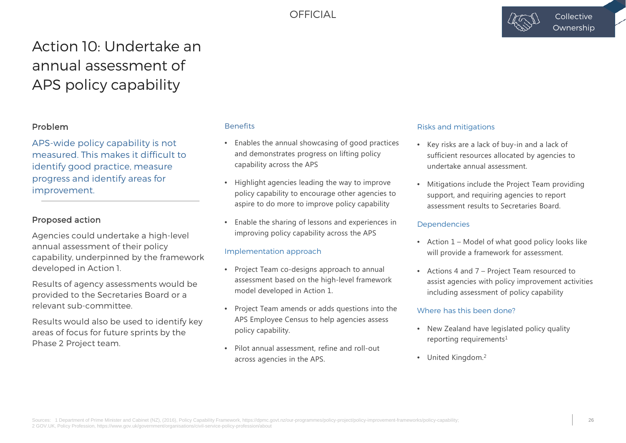

## Action 10: Undertake an annual assessment of APS policy capability

## Problem

APS-wide policy capability is not measured. This makes it difficult to identify good practice, measure progress and identify areas for improvement.

## Proposed action

Agencies could undertake a high-level annual assessment of their policy capability, underpinned by the framework developed in Action 1.

Results of agency assessments would be provided to the Secretaries Board or a relevant sub-committee.

Results would also be used to identify key areas of focus for future sprints by the Phase 2 Project team.

### **Benefits**

- Enables the annual showcasing of good practices and demonstrates progress on lifting policy capability across the APS
- Highlight agencies leading the way to improve policy capability to encourage other agencies to aspire to do more to improve policy capability
- Enable the sharing of lessons and experiences in improving policy capability across the APS

### Implementation approach

- Project Team co-designs approach to annual assessment based on the high-level framework model developed in Action 1.
- Project Team amends or adds questions into the APS Employee Census to help agencies assess policy capability.
- Pilot annual assessment, refine and roll-out across agencies in the APS.

#### Risks and mitigations

- Key risks are a lack of buy-in and a lack of sufficient resources allocated by agencies to undertake annual assessment.
- Mitigations include the Project Team providing support, and requiring agencies to report assessment results to Secretaries Board.

### Dependencies

- Action 1 Model of what good policy looks like will provide a framework for assessment.
- Actions 4 and 7 Project Team resourced to assist agencies with policy improvement activities including assessment of policy capability

### Where has this been done?

- New Zealand have legislated policy quality reporting requirements<sup>1</sup>
- United Kingdom.<sup>2</sup>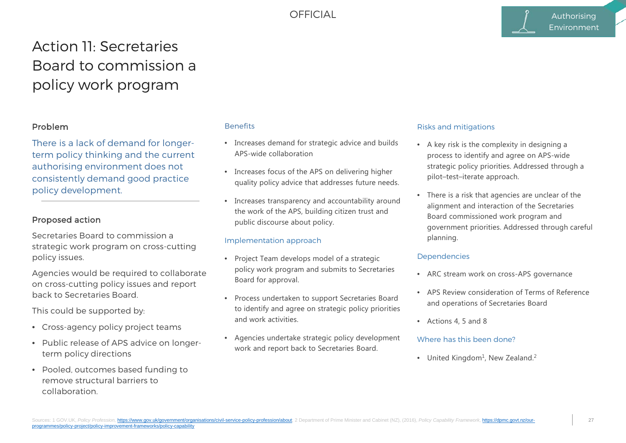## Action 11: Secretaries Board to commission a policy work program

## Problem

There is a lack of demand for longerterm policy thinking and the current authorising environment does not consistently demand good practice policy development.

## Proposed action

Secretaries Board to commission a strategic work program on cross-cutting policy issues.

Agencies would be required to collaborate on cross-cutting policy issues and report back to Secretaries Board.

This could be supported by:

- Cross-agency policy project teams
- Public release of APS advice on longerterm policy directions
- Pooled, outcomes based funding to remove structural barriers to collaboration.

### **Benefits**

- Increases demand for strategic advice and builds APS-wide collaboration
- Increases focus of the APS on delivering higher quality policy advice that addresses future needs.
- Increases transparency and accountability around the work of the APS, building citizen trust and public discourse about policy.

### Implementation approach

- Project Team develops model of a strategic policy work program and submits to Secretaries Board for approval.
- Process undertaken to support Secretaries Board to identify and agree on strategic policy priorities and work activities.
- Agencies undertake strategic policy development work and report back to Secretaries Board.

#### Risks and mitigations

- A key risk is the complexity in designing a process to identify and agree on APS-wide strategic policy priorities. Addressed through a pilot–test–iterate approach.
- There is a risk that agencies are unclear of the alignment and interaction of the Secretaries Board commissioned work program and government priorities. Addressed through careful planning.

### **Dependencies**

- ARC stream work on cross-APS governance
- APS Review consideration of Terms of Reference and operations of Secretaries Board
- Actions 4, 5 and 8

### Where has this been done?

• United Kingdom<sup>1</sup>, New Zealand.<sup>2</sup>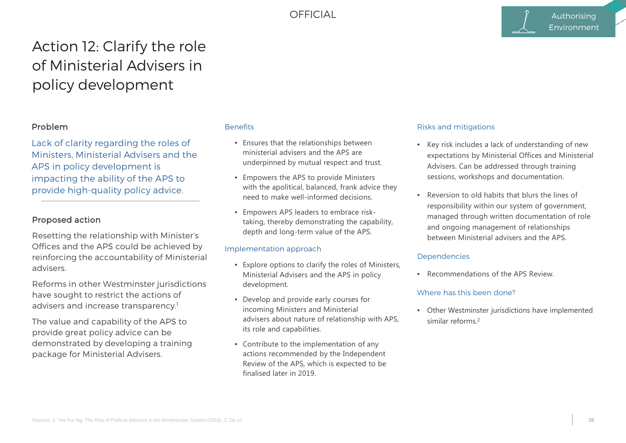## Action 12: Clarify the role of Ministerial Advisers in policy development

## Problem

Lack of clarity regarding the roles of Ministers, Ministerial Advisers and the APS in policy development is impacting the ability of the APS to provide high-quality policy advice.

### Proposed action

Resetting the relationship with Minister's Offices and the APS could be achieved by reinforcing the accountability of Ministerial advisers.

Reforms in other Westminster jurisdictions have sought to restrict the actions of advisers and increase transparency.<sup>1</sup>

The value and capability of the APS to provide great policy advice can be demonstrated by developing a training package for Ministerial Advisers.

#### **Benefits**

- Ensures that the relationships between ministerial advisers and the APS are underpinned by mutual respect and trust.
- Empowers the APS to provide Ministers with the apolitical, balanced, frank advice they need to make well-informed decisions.
- Empowers APS leaders to embrace risktaking, thereby demonstrating the capability, depth and long-term value of the APS.

### Implementation approach

- Explore options to clarify the roles of Ministers, Ministerial Advisers and the APS in policy development.
- Develop and provide early courses for incoming Ministers and Ministerial advisers about nature of relationship with APS, its role and capabilities.
- Contribute to the implementation of any actions recommended by the Independent Review of the APS, which is expected to be finalised later in 2019.

#### Risks and mitigations

- Key risk includes a lack of understanding of new expectations by Ministerial Offices and Ministerial Advisers. Can be addressed through training sessions, workshops and documentation.
- Reversion to old habits that blurs the lines of responsibility within our system of government, managed through written documentation of role and ongoing management of relationships between Ministerial advisers and the APS.

#### **Dependencies**

• Recommendations of the APS Review

#### Where has this been done?

• Other Westminster jurisdictions have implemented similar reforms.2